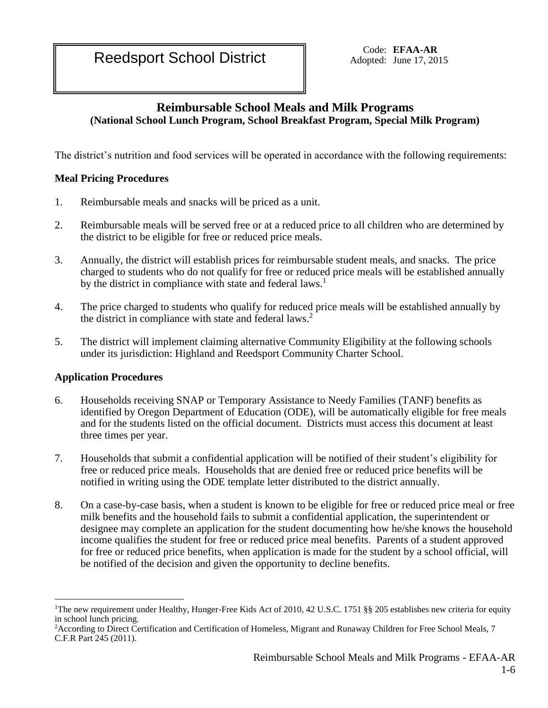Adopted: June 17, 2015

# **Reimbursable School Meals and Milk Programs (National School Lunch Program, School Breakfast Program, Special Milk Program)**

The district's nutrition and food services will be operated in accordance with the following requirements:

# **Meal Pricing Procedures**

- 1. Reimbursable meals and snacks will be priced as a unit.
- 2. Reimbursable meals will be served free or at a reduced price to all children who are determined by the district to be eligible for free or reduced price meals.
- 3. Annually, the district will establish prices for reimbursable student meals, and snacks. The price charged to students who do not qualify for free or reduced price meals will be established annually by the district in compliance with state and federal laws.<sup>1</sup>
- 4. The price charged to students who qualify for reduced price meals will be established annually by the district in compliance with state and federal laws.<sup>2</sup>
- 5. The district will implement claiming alternative Community Eligibility at the following schools under its jurisdiction: Highland and Reedsport Community Charter School.

# **Application Procedures**

 $\overline{a}$ 

- 6. Households receiving SNAP or Temporary Assistance to Needy Families (TANF) benefits as identified by Oregon Department of Education (ODE), will be automatically eligible for free meals and for the students listed on the official document. Districts must access this document at least three times per year.
- 7. Households that submit a confidential application will be notified of their student's eligibility for free or reduced price meals. Households that are denied free or reduced price benefits will be notified in writing using the ODE template letter distributed to the district annually.
- 8. On a case-by-case basis, when a student is known to be eligible for free or reduced price meal or free milk benefits and the household fails to submit a confidential application, the superintendent or designee may complete an application for the student documenting how he/she knows the household income qualifies the student for free or reduced price meal benefits. Parents of a student approved for free or reduced price benefits, when application is made for the student by a school official, will be notified of the decision and given the opportunity to decline benefits.

<sup>&</sup>lt;sup>1</sup>The new requirement under Healthy, Hunger-Free Kids Act of 2010, 42 U.S.C. 1751 §§ 205 establishes new criteria for equity in school lunch pricing.

<sup>&</sup>lt;sup>2</sup> According to Direct Certification and Certification of Homeless, Migrant and Runaway Children for Free School Meals, 7 C.F.R Part 245 (2011).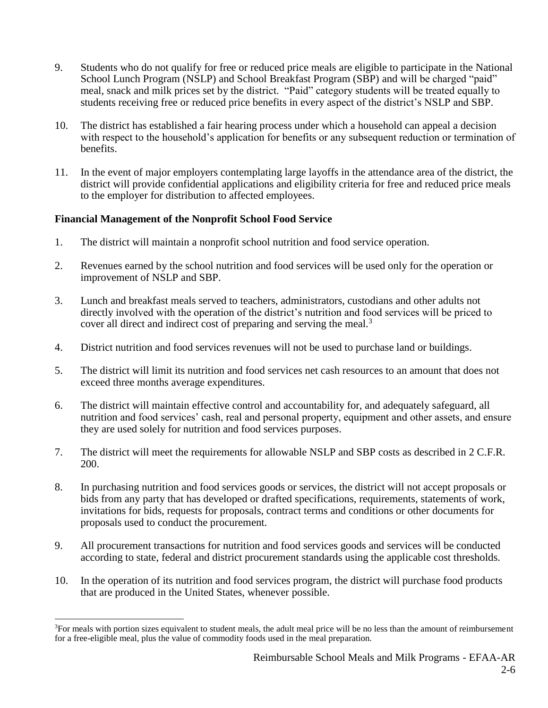- 9. Students who do not qualify for free or reduced price meals are eligible to participate in the National School Lunch Program (NSLP) and School Breakfast Program (SBP) and will be charged "paid" meal, snack and milk prices set by the district. "Paid" category students will be treated equally to students receiving free or reduced price benefits in every aspect of the district's NSLP and SBP.
- 10. The district has established a fair hearing process under which a household can appeal a decision with respect to the household's application for benefits or any subsequent reduction or termination of benefits.
- 11. In the event of major employers contemplating large layoffs in the attendance area of the district, the district will provide confidential applications and eligibility criteria for free and reduced price meals to the employer for distribution to affected employees.

# **Financial Management of the Nonprofit School Food Service**

 $\overline{a}$ 

- 1. The district will maintain a nonprofit school nutrition and food service operation.
- 2. Revenues earned by the school nutrition and food services will be used only for the operation or improvement of NSLP and SBP.
- 3. Lunch and breakfast meals served to teachers, administrators, custodians and other adults not directly involved with the operation of the district's nutrition and food services will be priced to cover all direct and indirect cost of preparing and serving the meal.<sup>3</sup>
- 4. District nutrition and food services revenues will not be used to purchase land or buildings.
- 5. The district will limit its nutrition and food services net cash resources to an amount that does not exceed three months average expenditures.
- 6. The district will maintain effective control and accountability for, and adequately safeguard, all nutrition and food services' cash, real and personal property, equipment and other assets, and ensure they are used solely for nutrition and food services purposes.
- 7. The district will meet the requirements for allowable NSLP and SBP costs as described in 2 C.F.R. 200.
- 8. In purchasing nutrition and food services goods or services, the district will not accept proposals or bids from any party that has developed or drafted specifications, requirements, statements of work, invitations for bids, requests for proposals, contract terms and conditions or other documents for proposals used to conduct the procurement.
- 9. All procurement transactions for nutrition and food services goods and services will be conducted according to state, federal and district procurement standards using the applicable cost thresholds.
- 10. In the operation of its nutrition and food services program, the district will purchase food products that are produced in the United States, whenever possible.

<sup>&</sup>lt;sup>3</sup>For meals with portion sizes equivalent to student meals, the adult meal price will be no less than the amount of reimbursement for a free-eligible meal, plus the value of commodity foods used in the meal preparation.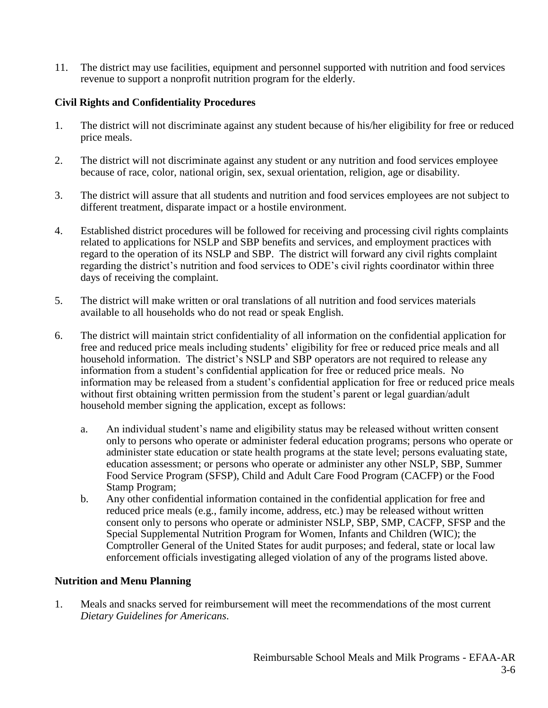11. The district may use facilities, equipment and personnel supported with nutrition and food services revenue to support a nonprofit nutrition program for the elderly.

## **Civil Rights and Confidentiality Procedures**

- 1. The district will not discriminate against any student because of his/her eligibility for free or reduced price meals.
- 2. The district will not discriminate against any student or any nutrition and food services employee because of race, color, national origin, sex, sexual orientation, religion, age or disability.
- 3. The district will assure that all students and nutrition and food services employees are not subject to different treatment, disparate impact or a hostile environment.
- 4. Established district procedures will be followed for receiving and processing civil rights complaints related to applications for NSLP and SBP benefits and services, and employment practices with regard to the operation of its NSLP and SBP. The district will forward any civil rights complaint regarding the district's nutrition and food services to ODE's civil rights coordinator within three days of receiving the complaint.
- 5. The district will make written or oral translations of all nutrition and food services materials available to all households who do not read or speak English.
- 6. The district will maintain strict confidentiality of all information on the confidential application for free and reduced price meals including students' eligibility for free or reduced price meals and all household information. The district's NSLP and SBP operators are not required to release any information from a student's confidential application for free or reduced price meals. No information may be released from a student's confidential application for free or reduced price meals without first obtaining written permission from the student's parent or legal guardian/adult household member signing the application, except as follows:
	- a. An individual student's name and eligibility status may be released without written consent only to persons who operate or administer federal education programs; persons who operate or administer state education or state health programs at the state level; persons evaluating state, education assessment; or persons who operate or administer any other NSLP, SBP, Summer Food Service Program (SFSP), Child and Adult Care Food Program (CACFP) or the Food Stamp Program;
	- b. Any other confidential information contained in the confidential application for free and reduced price meals (e.g., family income, address, etc.) may be released without written consent only to persons who operate or administer NSLP, SBP, SMP, CACFP, SFSP and the Special Supplemental Nutrition Program for Women, Infants and Children (WIC); the Comptroller General of the United States for audit purposes; and federal, state or local law enforcement officials investigating alleged violation of any of the programs listed above.

#### **Nutrition and Menu Planning**

1. Meals and snacks served for reimbursement will meet the recommendations of the most current *Dietary Guidelines for Americans*.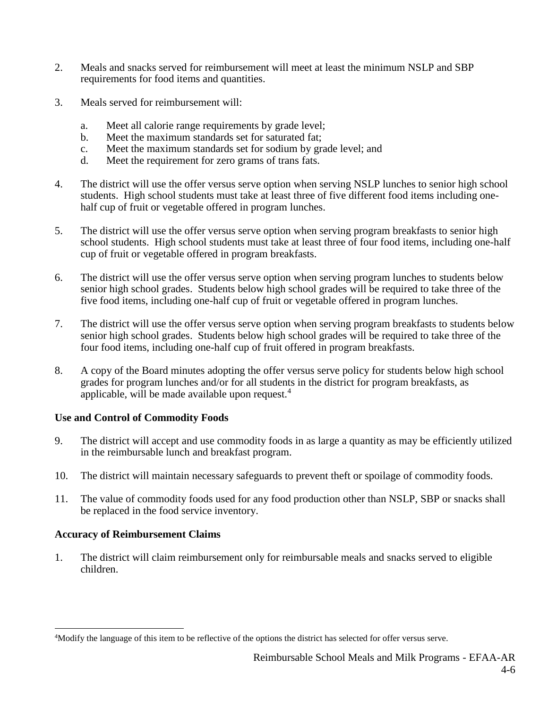- 2. Meals and snacks served for reimbursement will meet at least the minimum NSLP and SBP requirements for food items and quantities.
- 3. Meals served for reimbursement will:
	- a. Meet all calorie range requirements by grade level;
	- b. Meet the maximum standards set for saturated fat;
	- c. Meet the maximum standards set for sodium by grade level; and
	- d. Meet the requirement for zero grams of trans fats.
- 4. The district will use the offer versus serve option when serving NSLP lunches to senior high school students. High school students must take at least three of five different food items including onehalf cup of fruit or vegetable offered in program lunches.
- 5. The district will use the offer versus serve option when serving program breakfasts to senior high school students. High school students must take at least three of four food items, including one-half cup of fruit or vegetable offered in program breakfasts.
- 6. The district will use the offer versus serve option when serving program lunches to students below senior high school grades. Students below high school grades will be required to take three of the five food items, including one-half cup of fruit or vegetable offered in program lunches.
- 7. The district will use the offer versus serve option when serving program breakfasts to students below senior high school grades. Students below high school grades will be required to take three of the four food items, including one-half cup of fruit offered in program breakfasts.
- 8. A copy of the Board minutes adopting the offer versus serve policy for students below high school grades for program lunches and/or for all students in the district for program breakfasts, as applicable, will be made available upon request. $4$

## **Use and Control of Commodity Foods**

- 9. The district will accept and use commodity foods in as large a quantity as may be efficiently utilized in the reimbursable lunch and breakfast program.
- 10. The district will maintain necessary safeguards to prevent theft or spoilage of commodity foods.
- 11. The value of commodity foods used for any food production other than NSLP, SBP or snacks shall be replaced in the food service inventory.

## **Accuracy of Reimbursement Claims**

 $\overline{a}$ 

1. The district will claim reimbursement only for reimbursable meals and snacks served to eligible children.

<sup>4</sup>Modify the language of this item to be reflective of the options the district has selected for offer versus serve.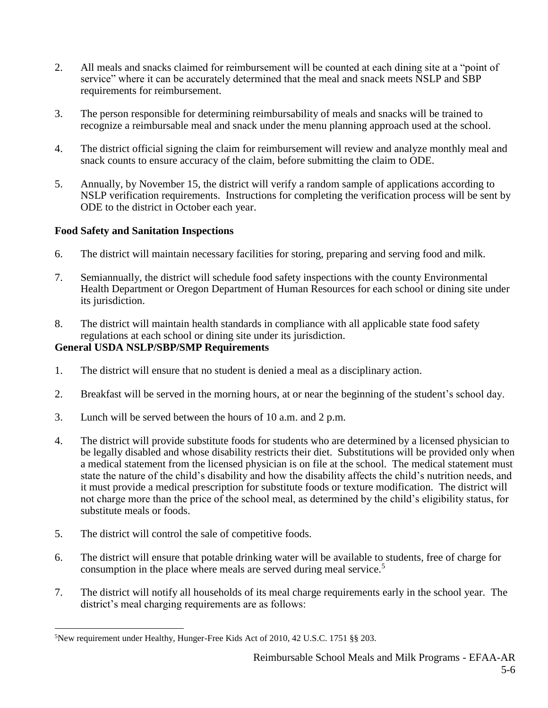- 2. All meals and snacks claimed for reimbursement will be counted at each dining site at a "point of service" where it can be accurately determined that the meal and snack meets NSLP and SBP requirements for reimbursement.
- 3. The person responsible for determining reimbursability of meals and snacks will be trained to recognize a reimbursable meal and snack under the menu planning approach used at the school.
- 4. The district official signing the claim for reimbursement will review and analyze monthly meal and snack counts to ensure accuracy of the claim, before submitting the claim to ODE.
- 5. Annually, by November 15, the district will verify a random sample of applications according to NSLP verification requirements. Instructions for completing the verification process will be sent by ODE to the district in October each year.

## **Food Safety and Sanitation Inspections**

- 6. The district will maintain necessary facilities for storing, preparing and serving food and milk.
- 7. Semiannually, the district will schedule food safety inspections with the county Environmental Health Department or Oregon Department of Human Resources for each school or dining site under its jurisdiction.
- 8. The district will maintain health standards in compliance with all applicable state food safety regulations at each school or dining site under its jurisdiction.

#### **General USDA NSLP/SBP/SMP Requirements**

- 1. The district will ensure that no student is denied a meal as a disciplinary action.
- 2. Breakfast will be served in the morning hours, at or near the beginning of the student's school day.
- 3. Lunch will be served between the hours of 10 a.m. and 2 p.m.
- 4. The district will provide substitute foods for students who are determined by a licensed physician to be legally disabled and whose disability restricts their diet. Substitutions will be provided only when a medical statement from the licensed physician is on file at the school. The medical statement must state the nature of the child's disability and how the disability affects the child's nutrition needs, and it must provide a medical prescription for substitute foods or texture modification. The district will not charge more than the price of the school meal, as determined by the child's eligibility status, for substitute meals or foods.
- 5. The district will control the sale of competitive foods.
- 6. The district will ensure that potable drinking water will be available to students, free of charge for consumption in the place where meals are served during meal service.<sup>5</sup>
- 7. The district will notify all households of its meal charge requirements early in the school year. The district's meal charging requirements are as follows:

 $\overline{a}$ 5New requirement under Healthy, Hunger-Free Kids Act of 2010, 42 U.S.C. 1751 §§ 203.